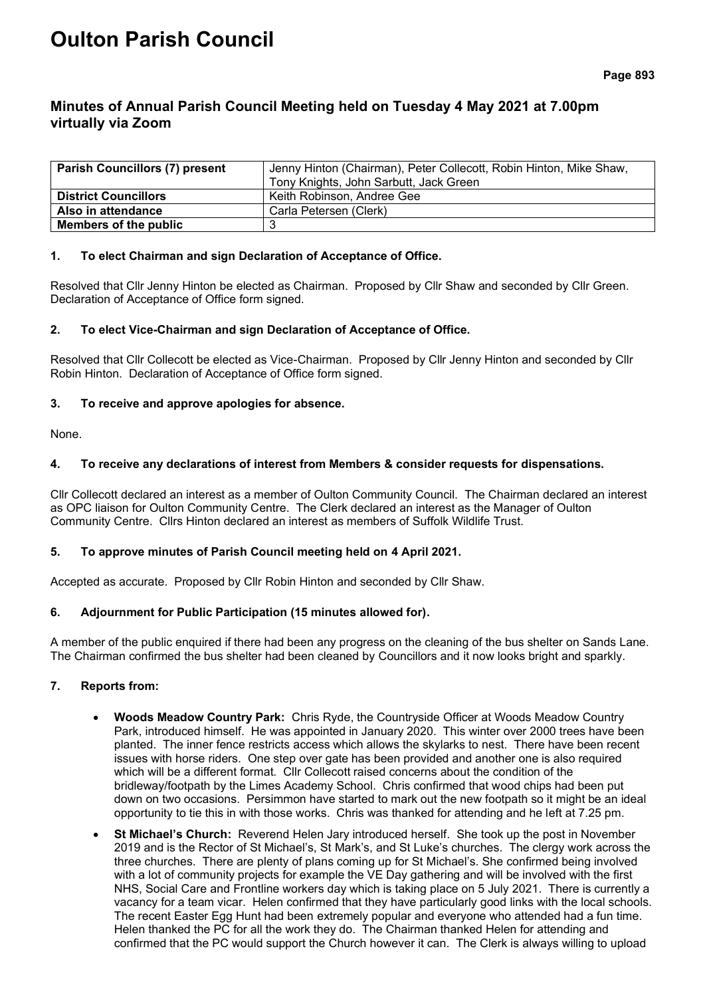# **Oulton Parish Council**

# **Minutes of Annual Parish Council Meeting held on Tuesday 4 May 2021 at 7.00pm virtually via Zoom**

| <b>Parish Councillors (7) present</b> | Jenny Hinton (Chairman), Peter Collecott, Robin Hinton, Mike Shaw, |  |  |
|---------------------------------------|--------------------------------------------------------------------|--|--|
|                                       | Tony Knights, John Sarbutt, Jack Green                             |  |  |
| <b>District Councillors</b>           | Keith Robinson, Andree Gee                                         |  |  |
| Also in attendance                    | Carla Petersen (Clerk)                                             |  |  |
| Members of the public                 |                                                                    |  |  |

#### **1. To elect Chairman and sign Declaration of Acceptance of Office.**

Resolved that Cllr Jenny Hinton be elected as Chairman. Proposed by Cllr Shaw and seconded by Cllr Green. Declaration of Acceptance of Office form signed.

#### **2. To elect Vice-Chairman and sign Declaration of Acceptance of Office.**

Resolved that Cllr Collecott be elected as Vice-Chairman. Proposed by Cllr Jenny Hinton and seconded by Cllr Robin Hinton. Declaration of Acceptance of Office form signed.

#### **3. To receive and approve apologies for absence.**

None.

#### **4. To receive any declarations of interest from Members & consider requests for dispensations.**

Cllr Collecott declared an interest as a member of Oulton Community Council. The Chairman declared an interest as OPC liaison for Oulton Community Centre. The Clerk declared an interest as the Manager of Oulton Community Centre. Cllrs Hinton declared an interest as members of Suffolk Wildlife Trust.

# **5. To approve minutes of Parish Council meeting held on 4 April 2021.**

Accepted as accurate. Proposed by Cllr Robin Hinton and seconded by Cllr Shaw.

# **6. Adjournment for Public Participation (15 minutes allowed for).**

A member of the public enquired if there had been any progress on the cleaning of the bus shelter on Sands Lane. The Chairman confirmed the bus shelter had been cleaned by Councillors and it now looks bright and sparkly.

# **7. Reports from:**

- **Woods Meadow Country Park:** Chris Ryde, the Countryside Officer at Woods Meadow Country Park, introduced himself. He was appointed in January 2020. This winter over 2000 trees have been planted. The inner fence restricts access which allows the skylarks to nest. There have been recent issues with horse riders. One step over gate has been provided and another one is also required which will be a different format. Cllr Collecott raised concerns about the condition of the bridleway/footpath by the Limes Academy School. Chris confirmed that wood chips had been put down on two occasions. Persimmon have started to mark out the new footpath so it might be an ideal opportunity to tie this in with those works. Chris was thanked for attending and he left at 7.25 pm.
- **St Michael's Church:** Reverend Helen Jary introduced herself. She took up the post in November 2019 and is the Rector of St Michael's, St Mark's, and St Luke's churches. The clergy work across the three churches. There are plenty of plans coming up for St Michael's. She confirmed being involved with a lot of community projects for example the VE Day gathering and will be involved with the first NHS, Social Care and Frontline workers day which is taking place on 5 July 2021. There is currently a vacancy for a team vicar. Helen confirmed that they have particularly good links with the local schools. The recent Easter Egg Hunt had been extremely popular and everyone who attended had a fun time. Helen thanked the PC for all the work they do. The Chairman thanked Helen for attending and confirmed that the PC would support the Church however it can. The Clerk is always willing to upload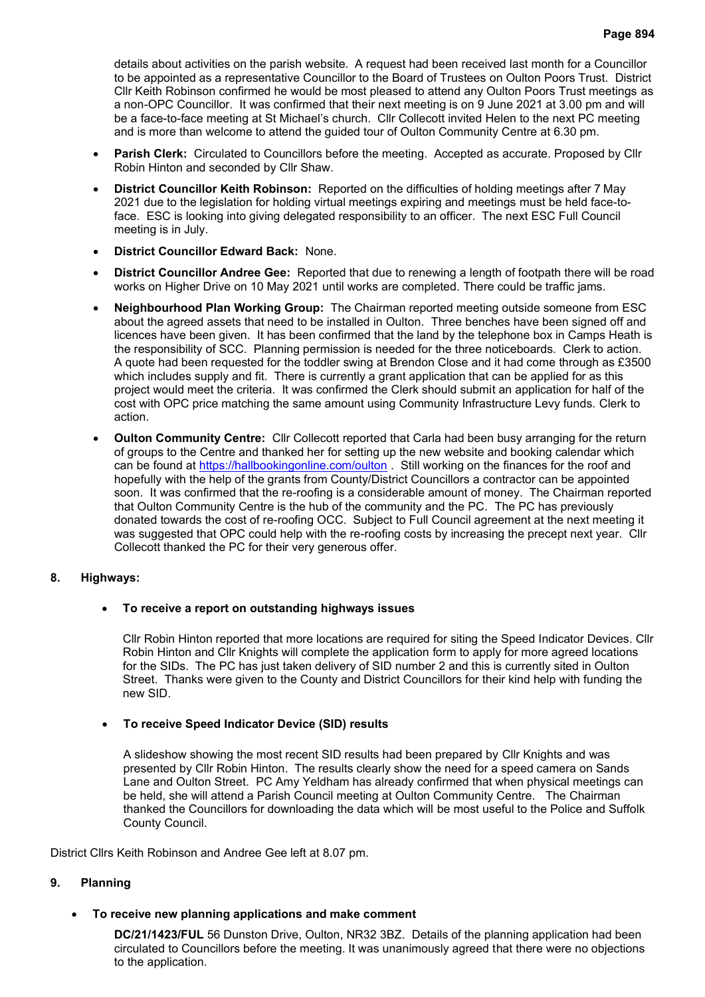details about activities on the parish website. A request had been received last month for a Councillor to be appointed as a representative Councillor to the Board of Trustees on Oulton Poors Trust.District Cllr Keith Robinson confirmed he would be most pleased to attend any Oulton Poors Trust meetings as a non-OPC Councillor. It was confirmed that their next meeting is on 9 June 2021 at 3.00 pm and will be a face-to-face meeting at St Michael's church. Cllr Collecott invited Helen to the next PC meeting and is more than welcome to attend the guided tour of Oulton Community Centre at 6.30 pm.

- **Parish Clerk:** Circulated to Councillors before the meeting. Accepted as accurate. Proposed by Cllr Robin Hinton and seconded by Cllr Shaw.
- **District Councillor Keith Robinson:** Reported on the difficulties of holding meetings after 7 May 2021 due to the legislation for holding virtual meetings expiring and meetings must be held face-toface. ESC is looking into giving delegated responsibility to an officer. The next ESC Full Council meeting is in July.
- **District Councillor Edward Back:** None.
- **District Councillor Andree Gee:** Reported that due to renewing a length of footpath there will be road works on Higher Drive on 10 May 2021 until works are completed. There could be traffic jams.
- **Neighbourhood Plan Working Group:** The Chairman reported meeting outside someone from ESC about the agreed assets that need to be installed in Oulton. Three benches have been signed off and licences have been given. It has been confirmed that the land by the telephone box in Camps Heath is the responsibility of SCC. Planning permission is needed for the three noticeboards. Clerk to action. A quote had been requested for the toddler swing at Brendon Close and it had come through as £3500 which includes supply and fit. There is currently a grant application that can be applied for as this project would meet the criteria. It was confirmed the Clerk should submit an application for half of the cost with OPC price matching the same amount using Community Infrastructure Levy funds. Clerk to action.
- **Oulton Community Centre:** Cllr Collecott reported that Carla had been busy arranging for the return of groups to the Centre and thanked her for setting up the new website and booking calendar which can be found at<https://hallbookingonline.com/oulton> . Still working on the finances for the roof and hopefully with the help of the grants from County/District Councillors a contractor can be appointed soon. It was confirmed that the re-roofing is a considerable amount of money. The Chairman reported that Oulton Community Centre is the hub of the community and the PC. The PC has previously donated towards the cost of re-roofing OCC. Subject to Full Council agreement at the next meeting it was suggested that OPC could help with the re-roofing costs by increasing the precept next year. Cllr Collecott thanked the PC for their very generous offer.

# **8. Highways:**

# • **To receive a report on outstanding highways issues**

Cllr Robin Hinton reported that more locations are required for siting the Speed Indicator Devices. Cllr Robin Hinton and Cllr Knights will complete the application form to apply for more agreed locations for the SIDs. The PC has just taken delivery of SID number 2 and this is currently sited in Oulton Street. Thanks were given to the County and District Councillors for their kind help with funding the new SID.

# • **To receive Speed Indicator Device (SID) results**

A slideshow showing the most recent SID results had been prepared by Cllr Knights and was presented by Cllr Robin Hinton. The results clearly show the need for a speed camera on Sands Lane and Oulton Street. PC Amy Yeldham has already confirmed that when physical meetings can be held, she will attend a Parish Council meeting at Oulton Community Centre. The Chairman thanked the Councillors for downloading the data which will be most useful to the Police and Suffolk County Council.

District Cllrs Keith Robinson and Andree Gee left at 8.07 pm.

#### **9. Planning**

• **To receive new planning applications and make comment**

**DC/21/1423/FUL** 56 Dunston Drive, Oulton, NR32 3BZ. Details of the planning application had been circulated to Councillors before the meeting. It was unanimously agreed that there were no objections to the application.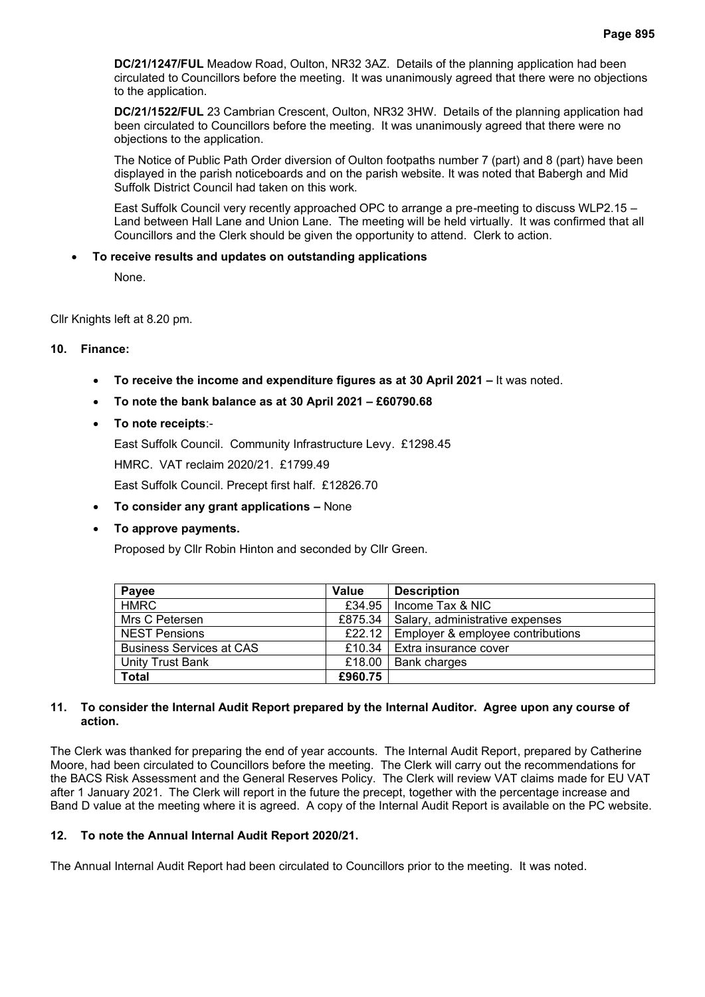**DC/21/1247/FUL** Meadow Road, Oulton, NR32 3AZ. Details of the planning application had been circulated to Councillors before the meeting. It was unanimously agreed that there were no objections to the application.

**DC/21/1522/FUL** 23 Cambrian Crescent, Oulton, NR32 3HW. Details of the planning application had been circulated to Councillors before the meeting. It was unanimously agreed that there were no objections to the application.

The Notice of Public Path Order diversion of Oulton footpaths number 7 (part) and 8 (part) have been displayed in the parish noticeboards and on the parish website. It was noted that Babergh and Mid Suffolk District Council had taken on this work.

East Suffolk Council very recently approached OPC to arrange a pre-meeting to discuss WLP2.15 – Land between Hall Lane and Union Lane. The meeting will be held virtually. It was confirmed that all Councillors and the Clerk should be given the opportunity to attend. Clerk to action.

#### • **To receive results and updates on outstanding applications**

None.

Cllr Knights left at 8.20 pm.

#### **10. Finance:**

- **To receive the income and expenditure figures as at 30 April 2021 –** It was noted.
- **To note the bank balance as at 30 April 2021 – £60790.68**

# • **To note receipts**:-

East Suffolk Council. Community Infrastructure Levy. £1298.45 HMRC. VAT reclaim 2020/21. £1799.49

East Suffolk Council. Precept first half. £12826.70

• **To consider any grant applications –** None

# • **To approve payments.**

Proposed by Cllr Robin Hinton and seconded by Cllr Green.

| Payee                           | Value   | <b>Description</b>                         |
|---------------------------------|---------|--------------------------------------------|
| <b>HMRC</b>                     | £34.95  | l Income Tax & NIC                         |
| Mrs C Petersen                  | £875.34 | Salary, administrative expenses            |
| <b>NEST Pensions</b>            |         | £22.12   Employer & employee contributions |
| <b>Business Services at CAS</b> |         | £10.34   Extra insurance cover             |
| Unity Trust Bank                | £18.00  | <b>Bank charges</b>                        |
| <b>Total</b>                    | £960.75 |                                            |

#### **11. To consider the Internal Audit Report prepared by the Internal Auditor. Agree upon any course of action.**

The Clerk was thanked for preparing the end of year accounts. The Internal Audit Report, prepared by Catherine Moore, had been circulated to Councillors before the meeting. The Clerk will carry out the recommendations for the BACS Risk Assessment and the General Reserves Policy. The Clerk will review VAT claims made for EU VAT after 1 January 2021. The Clerk will report in the future the precept, together with the percentage increase and Band D value at the meeting where it is agreed. A copy of the Internal Audit Report is available on the PC website.

# **12. To note the Annual Internal Audit Report 2020/21.**

The Annual Internal Audit Report had been circulated to Councillors prior to the meeting. It was noted.